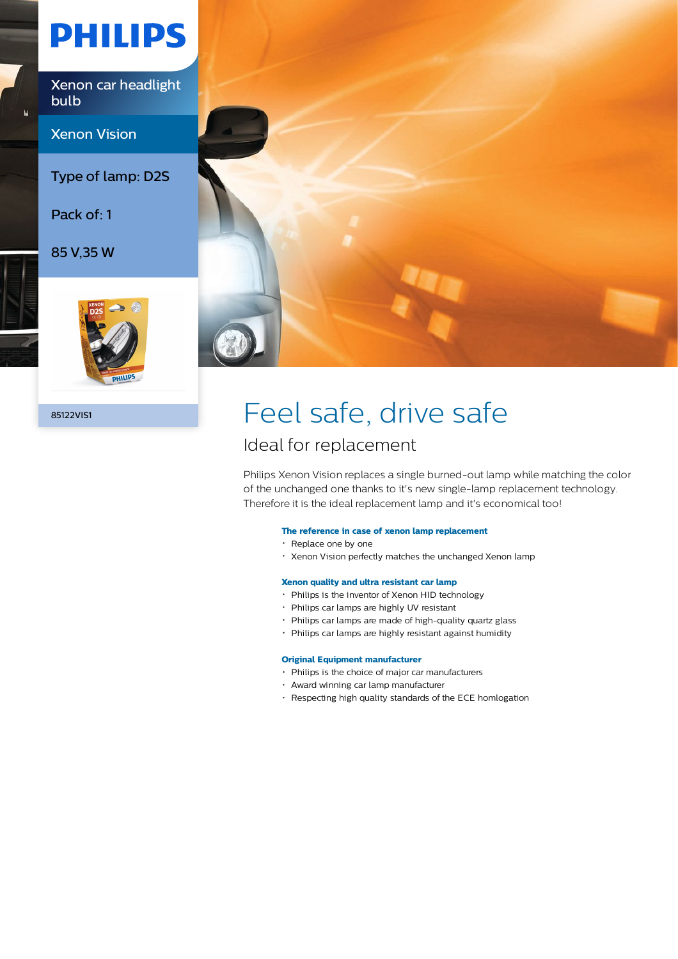# **PHILIPS**

Xenon car headlight bulb

Xenon Vision

Type of lamp: D2S

Pack of: 1

85 V,35 W





## 85122VIS1 **Feel safe**, drive safe

### Ideal for replacement

Philips Xenon Vision replaces a single burned-out lamp while matching the color of the unchanged one thanks to it's new single-lamp replacement technology. Therefore it is the ideal replacement lamp and it's economical too!

#### **The reference in case of xenon lamp replacement**

- Replace one by one
- Xenon Vision perfectly matches the unchanged Xenon lamp

#### **Xenon quality and ultra resistant car lamp**

- Philips is the inventor of Xenon HID technology
- Philips car lamps are highly UV resistant
- Philips car lamps are made of high-quality quartz glass
- Philips car lamps are highly resistant against humidity

#### **Original Equipment manufacturer**

- Philips is the choice of major car manufacturers
- Award winning car lamp manufacturer
- Respecting high quality standards of the ECE homlogation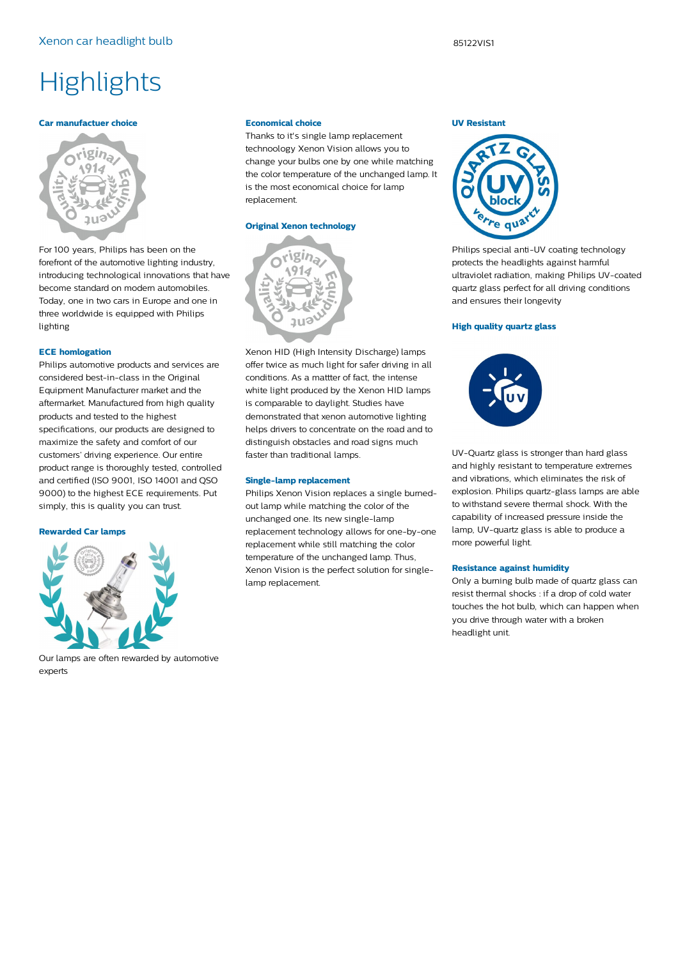#### **Car manufactuer choice**



For 100 years, Philips has been on the forefront of the automotive lighting industry, introducing technological innovations that have become standard on modern automobiles. Today, one in two cars in Europe and one in three worldwide is equipped with Philips lighting

#### **ECE homlogation**

Philips automotive products and services are considered best-in-class in the Original Equipment Manufacturer market and the aftermarket. Manufactured from high quality products and tested to the highest specifications, our products are designed to maximize the safety and comfort of our customers' driving experience. Our entire product range is thoroughly tested, controlled and certified (ISO 9001, ISO 14001 and QSO 9000) to the highest ECE requirements. Put simply, this is quality you can trust.

#### **Rewarded Car lamps**



Our lamps are often rewarded by automotive experts

#### **Economical choice**

Thanks to it's single lamp replacement technoology Xenon Vision allows you to change your bulbs one by one while matching the color temperature of the unchanged lamp. It is the most economical choice for lamp replacement.

#### **Original Xenon technology**



Xenon HID (High Intensity Discharge) lamps offer twice as much light for safer driving in all conditions. As a mattter of fact, the intense white light produced by the Xenon HID lamps is comparable to daylight. Studies have demonstrated that xenon automotive lighting helps drivers to concentrate on the road and to distinguish obstacles and road signs much faster than traditional lamps.

#### **Single-lamp replacement**

Philips Xenon Vision replaces a single burnedout lamp while matching the color of the unchanged one. Its new single-lamp replacement technology allows for one-by-one replacement while still matching the color temperature of the unchanged lamp. Thus, Xenon Vision is the perfect solution for singlelamp replacement.

#### **UV Resistant**



Philips special anti-UV coating technology protects the headlights against harmful ultraviolet radiation, making Philips UV-coated quartz glass perfect for all driving conditions and ensures their longevity

#### **High quality quartz glass**



UV-Quartz glass is stronger than hard glass and highly resistant to temperature extremes and vibrations, which eliminates the risk of explosion. Philips quartz-glass lamps are able to withstand severe thermal shock. With the capability of increased pressure inside the lamp, UV-quartz glass is able to produce a more powerful light.

#### **Resistance against humidity**

Only a burning bulb made of quartz glass can resist thermal shocks : if a drop of cold water touches the hot bulb, which can happen when you drive through water with a broken headlight unit.